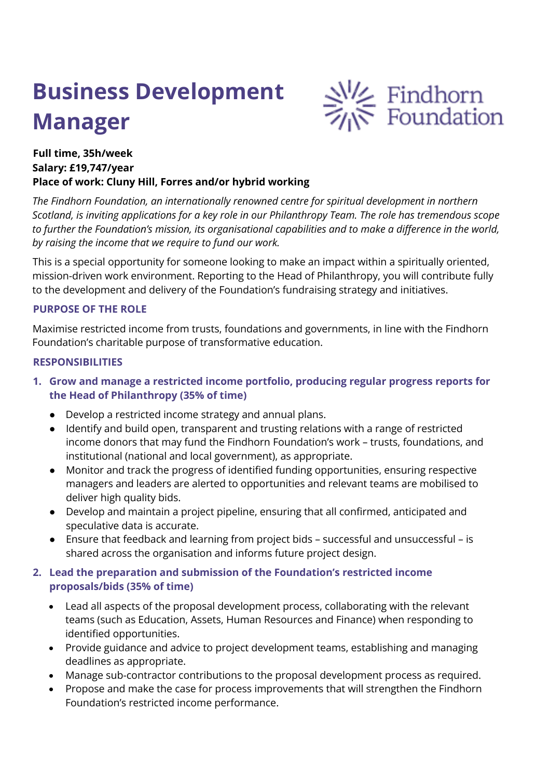# **Business Development Manager**



## **Full time, 35h/week Salary: £19,747/year Place of work: Cluny Hill, Forres and/or hybrid working**

*The Findhorn Foundation, an internationally renowned centre for spiritual development in northern Scotland, is inviting applications for a key role in our Philanthropy Team. The role has tremendous scope to further the Foundation's mission, its organisational capabilities and to make a difference in the world, by raising the income that we require to fund our work.*

This is a special opportunity for someone looking to make an impact within a spiritually oriented, mission-driven work environment. Reporting to the Head of Philanthropy, you will contribute fully to the development and delivery of the Foundation's fundraising strategy and initiatives.

#### **PURPOSE OF THE ROLE**

Maximise restricted income from trusts, foundations and governments, in line with the Findhorn Foundation's charitable purpose of transformative education.

#### **RESPONSIBILITIES**

- **1. Grow and manage a restricted income portfolio, producing regular progress reports for the Head of Philanthropy (35% of time)**
	- Develop a restricted income strategy and annual plans.
	- Identify and build open, transparent and trusting relations with a range of restricted income donors that may fund the Findhorn Foundation's work – trusts, foundations, and institutional (national and local government), as appropriate.
	- Monitor and track the progress of identified funding opportunities, ensuring respective managers and leaders are alerted to opportunities and relevant teams are mobilised to deliver high quality bids.
	- Develop and maintain a project pipeline, ensuring that all confirmed, anticipated and speculative data is accurate.
	- Ensure that feedback and learning from project bids successful and unsuccessful is shared across the organisation and informs future project design.

#### **2. Lead the preparation and submission of the Foundation's restricted income proposals/bids (35% of time)**

- Lead all aspects of the proposal development process, collaborating with the relevant teams (such as Education, Assets, Human Resources and Finance) when responding to identified opportunities.
- Provide guidance and advice to project development teams, establishing and managing deadlines as appropriate.
- Manage sub-contractor contributions to the proposal development process as required.
- Propose and make the case for process improvements that will strengthen the Findhorn Foundation's restricted income performance.